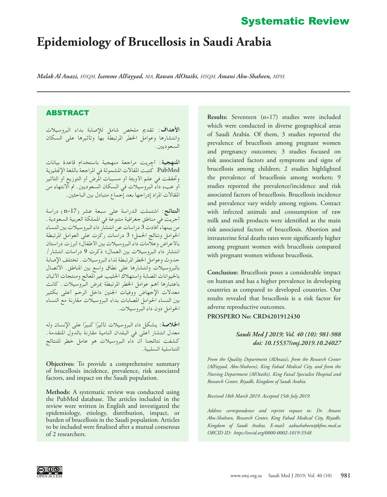# Systematic Review

# **Epidemiology of Brucellosis in Saudi Arabia**

*Malak Al Anazi, HSQM, Isamme AlFayyad, MA, Rawan AlOtaibi, HSQM, Amani Abu-Shaheen, MPH.*

## ABSTRACT

**األهداف:** تقدمي ملخص شامل لإلصابة بداء البروسيالت وانتشارها وعوامل اخلطر املرتبطة بها وتأثيرها على السكان السعوديني.

**املنهجية:** أجريت مراجعة منهجية باستخدام قاعدة بيانات PubMed. كتبت المقالات المشمولة في المراجعة باللغة الإنجليزية وحتققت في علم األوبئة أو مسببات املرض أو التوزيع أو التأثير أو عبء داء البروسيالت في السكان السعوديني. مت االنتهاء من المقالات المراد إدراجها بعد إجماع متبادل بين الباحثين.

**النتائج:** اشتملت الدراسة على سبعة عشر )17=n )دراسة أجريت في مناطق جغرافية متنوعة في اململكة العربية السعودية. من بينها، أفادت 3 دراسات عن انتشار داء البروسيالت بني النساء احلوامل ونتائج احلمل؛ 3 دراسات ركزت على العوامل املرتبطة باألعراض وعالمات داء البروسيالت بني األطفال؛ أبرزت دراستان انتشار داء البروسيالت بني العمال؛ ذكرت 9 دراسات انتشار/ حدوث وعوامل اخلطر املرتبطة لداء البروسيالت. تختلف اإلصابة بالبروسيالت وانتشارها على نطاق واسع بني املناطق. االتصال باحليوانات املصابة واستهالك احلليب غير املعالج ومنتجات األلبان باعتبارها أهم عوامل اخلطر املرتبطة مبرض البروسيالت. كانت معدالت اإلجهاض ووفيات اجلنني داخل الرحم أعلى بكثير بني النساء احلوامل املصابات بداء البروسيالت مقارنة مع النساء احلوامل دون داء البروسيالت.

ا**لخلاصة** : يشكل داء البروسيلات تأثيرًا كبيرًا على الإنسان وله<br>الخلاصة : يشكل داء البروسيلات تأثيرًا كبيرًا على الإن معدل انتشار أعلى في البلدان النامية مقارنة بالدول املتقدمة. كشفت نتائجنا أن داء البروسيالت هو عامل خطر للنتائج التناسلية السلبية.

**Objectives:** To provide a comprehensive summary of brucellosis incidence, prevalence, risk associated factors, and impact on the Saudi population.

**Methods:** A systematic review was conducted using the PubMed database. The articles included in the review were written in English and investigated the epidemiology, etiology, distribution, impact, or burden of brucellosis in the Saudi population. Articles to be included were finalized after a mutual consensus of 2 researchers.

**Results:** Seventeen (n=17) studies were included which were conducted in diverse geographical areas of Saudi Arabia. Of them, 3 studies reported the prevalence of brucellosis among pregnant women and pregnancy outcomes; 3 studies focused on risk associated factors and symptoms and signs of brucellosis among children; 2 studies highlighted the prevalence of brucellosis among workers; 9 studies reported the prevalence/incidence and risk associated factors of brucellosis. Brucellosis incidence and prevalence vary widely among regions. Contact with infected animals and consumption of raw milk and milk products were identified as the main risk associated factors of brucellosis. Abortion and intrauterine fetal deaths rates were significantly higher among pregnant women with brucellosis compared with pregnant women without brucellosis.

**Conclusion:** Brucellosis poses a considerable impact on human and has a higher prevalence in developing countries as compared to developed countries. Our results revealed that brucellosis is a risk factor for adverse reproductive outcomes.

#### **PROSPERO No: CRD4201912430**

### *Saudi Med J 2019; Vol. 40 (10): 981-988 doi: 10.15537/smj.2019.10.24027*

*From the Quality Department (AlAnazi), from the Research Center (AlFayyad, Abu-Shaheen), King Fahad Medical City, and from the Nursing Department (AlOtaibi), King Faisal Specialist Hospital and Research Center, Riyadh, Kingdom of Saudi Arabia.* 

*Received 18th March 2019. Accepted 15th July 2019.*

*Address correspondence and reprint request to: Dr. Amani Abu-Shaheen, Research Center, King Fahad Medical City, Riyadh, Kingdom of Saudi Arabia. E-mail: aabushaheen@kfmc.med.sa ORCID ID: https://orcid.org/0000-0002-1019-5548*

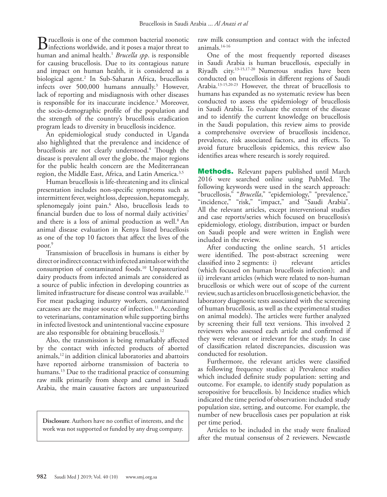$\mathbf{B}$  rucellosis is one of the common bacterial zoonotic infections worldwide, and it poses a major threat to have a major shown and animal bookh  $\frac{1}{2}$  *Buusella* at the geographical human and animal health.<sup>[1](#page-6-0)</sup> *Brucella spp*. is responsible for causing brucellosis. Due to its contagious nature and impact on human health, it is considered as a biological agent[.2](#page-6-1) In Sub-Saharan Africa, brucellosis infects over 500,000 humans annually.[3](#page-6-2) However, lack of reporting and misdiagnosis with other diseases is responsible for its inaccurate incidence[.3](#page-6-2) Moreover, the socio-demographic profile of the population and the strength of the country's brucellosis eradication program leads to diversity in brucellosis incidence.

An epidemiological study conducted in Uganda also highlighted that the prevalence and incidence of brucellosis are not clearly understood[.4](#page-6-3) Though the disease is prevalent all over the globe, the major regions for the public health concern are the Mediterranean region, the Middle East, Africa, and Latin America.<sup>[3,](#page-6-2)[5](#page-6-4)</sup>

Human brucellosis is life-threatening and its clinical presentation includes non-specific symptoms such as intermittent fever, weight loss, depression, hepatomegaly, splenomegaly joint pain.[6](#page-6-5) Also, brucellosis leads to financial burden due to loss of normal daily activities<sup>7</sup> and there is a loss of animal production as well.<sup>8</sup> An animal disease evaluation in Kenya listed brucellosis as one of the top 10 factors that affect the lives of the poor.[9](#page-6-8)

Transmission of brucellosis in humans is either by direct or indirect contact with infected animals or with the consumption of contaminated foods.[10](#page-6-9) Unpasteurized dairy products from infected animals are considered as a source of public infection in developing countries as limited infrastructure for disease control was available.<sup>11</sup> For meat packaging industry workers, contaminated carcasses are the major source of infection.<sup>[11](#page-6-10)</sup> According to veterinarians, contamination while supporting births in infected livestock and unintentional vaccine exposure are also responsible for obtaining brucellosis[.12](#page-6-11)

Also, the transmission is being remarkably affected by the contact with infected products of aborted animals,[12](#page-6-11) in addition clinical laboratories and abattoirs have reported airborne transmission of bacteria to humans.<sup>13</sup> Due to the traditional practice of consuming raw milk primarily from sheep and camel in Saudi Arabia, the main causative factors are unpasteurized

**Disclosure**. Authors have no conflict of interests, and the work was not supported or funded by any drug company.

raw milk consumption and contact with the infected animals.[14-](#page-6-13)[16](#page-6-14)

One of the most frequently reported diseases in Saudi Arabia is human brucellosis, especially in Riyadh city[.13-](#page-6-12)[15](#page-6-15),[17](#page-6-16)[-20](#page-6-17) Numerous studies have been conducted on brucellosis in different regions of Saudi Arabia.[13](#page-6-12)[-15,](#page-6-15)[20-](#page-6-17)[23](#page-6-18) However, the threat of brucellosis to humans has expanded as no systematic review has been conducted to assess the epidemiology of brucellosis in Saudi Arabia. To evaluate the extent of the disease and to identify the current knowledge on brucellosis in the Saudi population, this review aims to provide a comprehensive overview of brucellosis incidence, prevalence, risk associated factors, and its effects. To avoid future brucellosis epidemics, this review also identifies areas where research is sorely required.

Methods. Relevant papers published until March 2016 were searched online using PubMed. The following keywords were used in the search approach: "brucellosis," "*Brucella*," "epidemiology," "prevalence," "incidence," "risk," "impact," and "Saudi Arabia". All the relevant articles, except interventional studies and case reports/series which focused on brucellosis's epidemiology, etiology, distribution, impact or burden on Saudi people and were written in English were included in the review.

After conducting the online search, 51 articles were identified. The post-abstract screening were<br>classified into 2 segments: i) relevant articles classified into 2 segments: i) relevant articles (which focused on human brucellosis infection); and ii) irrelevant articles (which were related to non-human brucellosis or which were out of scope of the current review, such as articles on brucellosis genetic behavior, the laboratory diagnostic tests associated with the screening of human brucellosis, as well as the experimental studies on animal models). The articles were further analyzed by screening their full text versions. This involved 2 reviewers who assessed each article and confirmed if they were relevant or irrelevant for the study. In case of classification related discrepancies, discussion was conducted for resolution.

Furthermore, the relevant articles were classified as following frequency studies: a) Prevalence studies which included definite study population: setting and outcome. For example, to identify study population as seropositive for brucellosis. b) Incidence studies which indicated the time period of observation: included study population size, setting, and outcome. For example, the number of new brucellosis cases per population at risk per time period.

Articles to be included in the study were finalized after the mutual consensus of 2 reviewers. Newcastle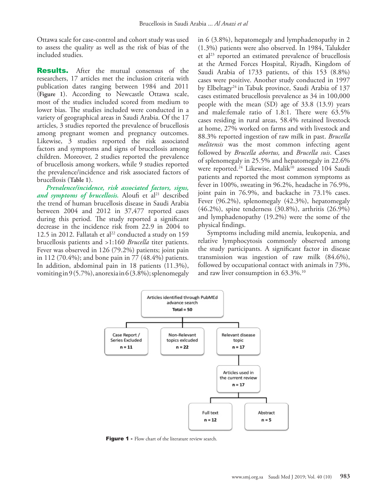Ottawa scale for case-control and cohort study was used to assess the quality as well as the risk of bias of the included studies.

**Results.** After the mutual consensus of the researchers, 17 articles met the inclusion criteria with publication dates ranging between 1984 and 2011 (**Figure 1**). According to Newcastle Ottawa scale, most of the studies included scored from medium to lower bias. The studies included were conducted in a variety of geographical areas in Saudi Arabia. Of the 17 articles, 3 studies reported the prevalence of brucellosis among pregnant women and pregnancy outcomes. Likewise, 3 studies reported the risk associated factors and symptoms and signs of brucellosis among children. Moreover, 2 studies reported the prevalence of brucellosis among workers, while 9 studies reported the prevalence/incidence and risk associated factors of brucellosis (**Table 1**).

*Prevalence/incidence, risk associated factors, signs, and symptoms of brucellosis.* Aloufi et al<sup>21</sup> described the trend of human brucellosis disease in Saudi Arabia between 2004 and 2012 in 37,477 reported cases during this period. The study reported a significant decrease in the incidence risk from 22.9 in 2004 to 12.5 in 2012. Fallatah et al<sup>[22](#page-6-20)</sup> conducted a study on 159 brucellosis patients and >1:160 *Brucella* titer patients. Fever was observed in 126 (79.2%) patients; joint pain in 112 (70.4%); and bone pain in 77 (48.4%) patients. In addition, abdominal pain in 18 patients (11.3%), vomiting in  $9(5.7\%)$ , anorexia in  $6(3.8\%)$ ; splenomegaly in 6 (3.8%), hepatomegaly and lymphadenopathy in 2 (1.3%) patients were also observed. In 1984, Talukder et al<sup>[23](#page-6-18)</sup> reported an estimated prevalence of brucellosis at the Armed Forces Hospital, Riyadh, Kingdom of Saudi Arabia of 1733 patients, of this 153 (8.8%) cases were positive. Another study conducted in 1997 by Elbeltagy<sup>24</sup> in Tabuk province, Saudi Arabia of 137 cases estimated brucellosis prevalence as 34 in 100,000 people with the mean (SD) age of 33.8 (13.9) years and male:female ratio of 1.8:1. There were 63.5% cases residing in rural areas, 58.4% retained livestock at home, 27% worked on farms and with livestock and 88.3% reported ingestion of raw milk in past. *Brucella melitensis* was the most common infecting agent followed by *Brucella abortus,* and *Brucella suis*. Cases of splenomegaly in 25.5% and hepatomegaly in 22.6% were reported.<sup>[24](#page-6-21)</sup> Likewise, Malik<sup>10</sup> assessed 104 Saudi patients and reported the most common symptoms as fever in 100%, sweating in 96.2%, headache in 76.9%, joint pain in 76.9%, and backache in 73.1% cases. Fever (96.2%), splenomegaly (42.3%), hepatomegaly (46.2%), spine tenderness (30.8%), arthritis (26.9%) and lymphadenopathy (19.2%) were the some of the physical findings.

Symptoms including mild anemia, leukopenia, and relative lymphocytosis commonly observed among the study participants. A significant factor in disease transmission was ingestion of raw milk (84.6%), followed by occupational contact with animals in 73%, and raw liver consumption in 63.3%.[10](#page-6-9)



Figure 1 - Flow chart of the literature review search.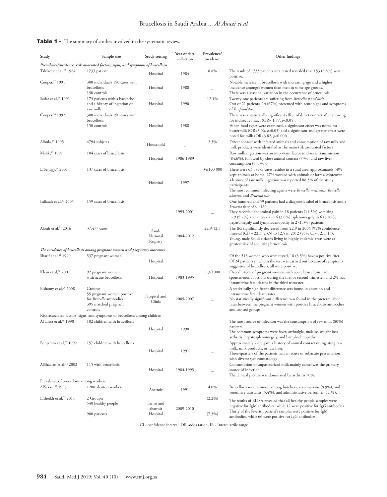|  |  | <b>Table 1</b> - The summary of studies involved in the systematic review. |  |  |  |  |  |
|--|--|----------------------------------------------------------------------------|--|--|--|--|--|
|--|--|----------------------------------------------------------------------------|--|--|--|--|--|

| Study                                                                                                               | Sample size                                                                                                 | Study setting                 | Year of data<br>collection | Prevalence/<br>incidence | Other findings                                                                                                                                                                                                                                                                                                                         |  |  |  |  |  |
|---------------------------------------------------------------------------------------------------------------------|-------------------------------------------------------------------------------------------------------------|-------------------------------|----------------------------|--------------------------|----------------------------------------------------------------------------------------------------------------------------------------------------------------------------------------------------------------------------------------------------------------------------------------------------------------------------------------|--|--|--|--|--|
| Prevalence/incidence, risk associated factors, signs, and symptoms of brucellosis                                   |                                                                                                             |                               |                            |                          |                                                                                                                                                                                                                                                                                                                                        |  |  |  |  |  |
| Talukder et al, <sup>23</sup> 1984                                                                                  | 1733 patient                                                                                                | Hospital                      | 1984                       | 8.8%                     | The result of 1733 patients sera tested revealed that 153 (8.8%) were<br>positive.                                                                                                                                                                                                                                                     |  |  |  |  |  |
| Cooper, <sup>27</sup> 1991                                                                                          | 300 individuals 150 cases with<br>brucellosis<br>150 controls                                               | Hospital                      | 1988                       |                          | Notable increase in brucellosis with increasing age and a higher<br>incidence amongst women than men in some age groups.<br>There was a seasonal variation in the occurrence of brucellosis.                                                                                                                                           |  |  |  |  |  |
| Sadat et al, <sup>28</sup> 1991                                                                                     | 173 patients with a backache<br>and a history of ingestion of<br>raw milk                                   | Hospital                      | 1990                       | 12.1%                    | Twenty-one patients are suffering from Brucella spondylitis.<br>Out of 21 patients, 14 (67%) presented with acute signs and symptoms<br>of <i>B.</i> spondylitis.                                                                                                                                                                      |  |  |  |  |  |
| Cooper, <sup>26</sup> 1992                                                                                          | 300 individuals 150 cases with<br>brucellosis<br>150 controls                                               | Hospital                      | 1988                       |                          | There was a statistically significant effect of direct contact after allowing<br>for indirect contact (OR= $1.77$ , $p<0.05$ ).<br>When food types were examined, a significant effect was noted for<br>buttermilk (OR=3.06, $p<0.05$ ) and a significant and greater effect were<br>noted for milk (OR=3.82, $p<0.001$ ).             |  |  |  |  |  |
| Albula, <sup>25</sup> 1995                                                                                          | 4794 subjects                                                                                               | Household                     |                            | 2.3%                     | Direct contact with infected animals and consumption of raw milk and<br>milk products were identified as the main risk associated factors                                                                                                                                                                                              |  |  |  |  |  |
| Malik, <sup>10</sup> 1997                                                                                           | 104 cases of brucellosis                                                                                    | Hospital                      | 1986-1989                  |                          | Raw milk ingestion was an important factor in disease transmission<br>(84.6%), followed by close animal contact (73%) and raw liver<br>consumption (63.3%).                                                                                                                                                                            |  |  |  |  |  |
| Elbeltagy, <sup>24</sup> 2001                                                                                       | 137 cases of brucellosis                                                                                    |                               |                            | 34/100 000               | There were 63.5% of cases residue in a rural area, approximately 58%<br>kept animals at home, 27% worked with animals or farms. Moreover,<br>a history of raw milk ingestion was reported 88.3% of the study                                                                                                                           |  |  |  |  |  |
|                                                                                                                     |                                                                                                             | Hospital                      | 1997                       |                          | participants.<br>The most common infecting agents were Brucella melitensis, Brucella<br>abortus, and Brucella suis.                                                                                                                                                                                                                    |  |  |  |  |  |
| Fallatah et al, <sup>22</sup> 2005                                                                                  | 159 cases of brucellosis                                                                                    |                               | 1995-2001                  |                          | One hundred and 59 patients had a diagnostic label of brucellosis and a<br>brucella titer of $>1:160$ .<br>They recorded abdominal pain in 18 patients (11.3%) vomiting                                                                                                                                                                |  |  |  |  |  |
| Aloufi et al, <sup>21</sup> 2016                                                                                    | 37,477 cases                                                                                                | Saudi<br>National<br>Registry | 2004-2012                  | 22.9-12.5                | in 9 (5.7%) and anorexia in 6 (3.8%); splenomegaly in 6 (3.8%),<br>hepatomegaly and lymphadenopathy in 2 (1.3%) patients.<br>The IRs significantly decreased from 22.9 in 2004 [95% confidence<br>interval (CI) = 22.3, 23.5] to 12.5 in 2012 (95% CI= 12.1, 13).<br>Young, male Saudi citizens living in highly endemic areas were at |  |  |  |  |  |
| greatest risk of acquiring brucellosis.<br>The incidence of brucellosis among pregnant women and pregnancy outcomes |                                                                                                             |                               |                            |                          |                                                                                                                                                                                                                                                                                                                                        |  |  |  |  |  |
| Sharif et al, <sup>31</sup> 1990                                                                                    |                                                                                                             |                               |                            |                          | Of the 513 women who were tested, 18 (3.5%) have a positive titer.                                                                                                                                                                                                                                                                     |  |  |  |  |  |
|                                                                                                                     | 537 pregnant women                                                                                          | Hospital                      |                            |                          | Of 24 patients in whom the test was carried out because of symptoms<br>suggestive of brucellosis, all were positive.                                                                                                                                                                                                                   |  |  |  |  |  |
| Khan et al, $30\,2001$                                                                                              | 92 pregnant women<br>with acute brucellosis                                                                 | Hospital                      | 1983-1995                  | 1.3/1000                 | Overall, 43% of pregnant women with acute brucellosis had<br>spontaneous abortions during the first or second trimester, and 2% had<br>intrauterine fetal deaths in the third trimester.                                                                                                                                               |  |  |  |  |  |
| Elshamy et al, <sup>29</sup> 2008                                                                                   | Groups:<br>55 pregnant women positive<br>for <i>Brucella</i> antibodies<br>395 matched pregnant<br>controls | Hospital and<br>Clinic        | 2005-2007                  |                          | A statistically significant difference was found in abortion and<br>intrauterine fetal death rates.<br>No statistically significant difference was found in the preterm labor<br>rates between the pregnant women with positive brucellosis antibodies<br>and control groups.                                                          |  |  |  |  |  |
|                                                                                                                     | Risk associated factors, signs, and symptoms of brucellosis among children                                  |                               |                            |                          |                                                                                                                                                                                                                                                                                                                                        |  |  |  |  |  |
| Al-Eissa et al, <sup>19</sup> 1990                                                                                  | 102 children with brucellosis                                                                               | Hospital                      | 1990                       |                          | The most source of infection was the consumption of raw milk (80%)<br>patients.                                                                                                                                                                                                                                                        |  |  |  |  |  |
| Benjamin et al, <sup>33</sup> 1992                                                                                  | 157 children with brucellosis                                                                               | Hospital                      | 1991                       |                          | The common symptoms were fever, arthralgia, malaise, weight loss,<br>arthritis, hepatosplenomegaly, and lymphadenopathy.<br>Approximately 22% gave a history of animal contact or ingesting raw<br>milk, milk products, or raw liver.                                                                                                  |  |  |  |  |  |
| AlShaalan et al, <sup>34</sup> 2002                                                                                 | 115 with brucellosis                                                                                        |                               |                            |                          | Three-quarters of the patients had an acute or subacute presentation<br>with diverse symptomatology<br>Consumption of unpasteurized milk mainly camel was the primary                                                                                                                                                                  |  |  |  |  |  |
|                                                                                                                     |                                                                                                             | Hospital                      | 1984-1995                  |                          | source of infection.<br>The clinical picture was dominated by arthritis 70%.                                                                                                                                                                                                                                                           |  |  |  |  |  |
| Prevalence of brucellosis among workers<br>AlSekait, <sup>32</sup> 1993                                             | 1200 abattoir workers                                                                                       | Abattoir                      | 1991                       | 4.0%                     | Brucellosis was common among butchers, veterinarians (8.9%), and                                                                                                                                                                                                                                                                       |  |  |  |  |  |
| Elsheikh et al, <sup>35</sup> 2011                                                                                  | 2 Groups:<br>540 healthy people                                                                             | Farms and                     |                            | $(2.2\%)$                | veterinary assistants (5.4%), and administrative personnel (1.1%).<br>The results of ELISA revealed that all healthy people samples were                                                                                                                                                                                               |  |  |  |  |  |
|                                                                                                                     | 900 patients                                                                                                | abattoir<br>Hospital          | 2009-2010                  | $(7.3\%)$                | negative for IgM antibodies, while 12 were positive for IgG antibodies.<br>Thirty of the feverish patient's samples were positive for IgM<br>antibodies, while 66 were positive for IgG antibodies.                                                                                                                                    |  |  |  |  |  |
| CI - confidence interval, OR -odds ration, IR - Interquartile range                                                 |                                                                                                             |                               |                            |                          |                                                                                                                                                                                                                                                                                                                                        |  |  |  |  |  |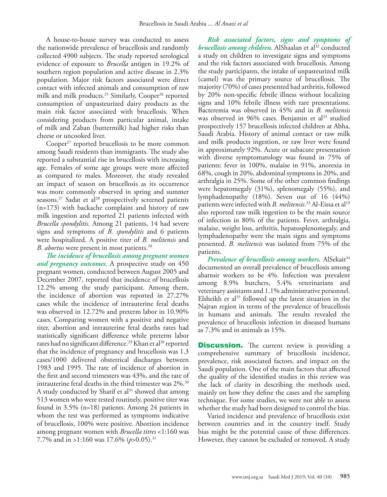A house-to-house survey was conducted to assess the nationwide prevalence of brucellosis and randomly collected 4900 subjects. The study reported serological evidence of exposure to *Brucella* antigen in 19.2% of southern region population and active disease in 2.3% population. Major risk factors associated were direct contact with infected animals and consumption of raw milk and milk products.<sup>[25](#page-6-33)</sup> Similarly, Cooper<sup>26</sup> reported consumption of unpasteurized dairy products as the main risk factor associated with brucellosis. When considering products from particular animal, intake of milk and Zaban (buttermilk) had higher risks than cheese or uncooked liver.

Cooper<sup>[27](#page-6-22)</sup> reported brucellosis to be more common among Saudi residents than immigrants. The study also reported a substantial rise in brucellosis with increasing age. Females of some age groups were more affected as compared to males. Moreover, the study revealed an impact of season on brucellosis as its occurrence was more commonly observed in spring and summer seasons.<sup>27</sup> Sadat et al<sup>28</sup> prospectively screened patients (n=173) with backache complaint and history of raw milk ingestion and reported 21 patients infected with *Brucella spondylitis*. Among 21 patients, 14 had severe signs and symptoms of *B. spondylitis* and 6 patients were hospitalized. A positive titer of *B. melitensis* and *B. abortus* were present in most patients.<sup>[28](#page-6-23)</sup>

*The incidence of brucellosis among pregnant women and pregnancy outcomes.* A prospective study on 450 pregnant women, conducted between August 2005 and December 2007, reported that incidence of brucellosis 12.2% among the study participant. Among them, the incidence of abortion was reported in 27.27% cases while the incidence of intrauterine fetal deaths was observed in 12.72% and preterm labor in 10.90% cases. Comparing women with a positive and negative titer, abortion and intrauterine fetal deaths rates had statistically significant difference while preterm labor rates had no significant difference.<sup>29</sup> Khan et al<sup>[30](#page-6-26)</sup> reported that the incidence of pregnancy and brucellosis was 1.3 cases/1000 delivered obstetrical discharges between 1983 and 1995. The rate of incidence of abortion in the first and second trimesters was 43%, and the rate of intrauterine fetal deaths in the third trimester was 2%.<sup>30</sup> A study conducted by Sharif et  $al<sup>31</sup>$  showed that among 513 women who were tested routinely, positive titer was found in 3.5% (n=18) patients. Among 24 patients in whom the test was performed as symptoms indicative of brucellosis, 100% were positive. Abortion incidence among pregnant women with *Brucella titres* <1:160 was 7.7% and in >1:160 was 17.6% (*p*>0.05)[.31](#page-6-25)

*Risk associated factors, signs and symptoms of brucellosis among children*. AlShaalan et al<sup>[32](#page-6-31)</sup> conducted a study on children to investigate signs and symptoms and the risk factors associated with brucellosis. Among the study participants, the intake of unpasteurized milk (camel) was the primary source of brucellosis. The majority (70%) of cases presented had arthritis, followed by 20% non-specific febrile illness without localizing signs and 10% febrile illness with rare presentations. Bacteremia was observed in 45% and in *B. melitensis*  was observed in 96% cases. Benjamin et al<sup>[33](#page-6-29)</sup> studied prospectively 157 brucellosis infected children at Abha, Saudi Arabia. History of animal contact or raw milk and milk products ingestion, or raw liver were found in approximately 92%. Acute or subacute presentation with diverse symptomatology was found in 75% of patients: fever in 100%, malaise in 91%, anorexia in 68%, cough in 20%, abdominal symptoms in 20%, and arthralgia in 25%. Some of the other common findings were hepatomegaly (31%), splenomegaly (55%), and lymphadenopathy (18%). Seven out of 16 (44%) patients were infected with *B. melitensis*.<sup>33</sup> Al-Eissa et al<sup>19</sup> also reported raw milk ingestion to be the main source of infection in 80% of the patients. Fever, arthralgia, malaise, weight loss, arthritis, hepatosplenomegaly, and lymphadenopathy were the main signs and symptoms presented. *B. melitensis* was isolated from 75% of the patients.

*Prevalence of brucellosis among workers.* AlSekait<sup>34</sup> documented an overall prevalence of brucellosis among abattoir workers to be 4%. Infection was prevalent among 8.9% butchers, 5.4% veterinarians and veterinary assistants and 1.1% administrative personnel. Elsheikh et al<sup>[35](#page-6-32)</sup> followed up the latest situation in the Najran region in terms of the prevalence of brucellosis in humans and animals. The results revealed the prevalence of brucellosis infection in diseased humans as 7.3% and in animals as 15%.

**Discussion.** The current review is providing a comprehensive summary of brucellosis incidence, prevalence, risk associated factors, and impact on the Saudi population. One of the main factors that affected the quality of the identified studies in this review was the lack of clarity in describing the methods used, mainly on how they define the cases and the sampling technique. For some studies, we were not able to assess whether the study had been designed to control the bias.

Varied incidence and prevalence of brucellosis exist between countries and in the country itself. Study bias might be the potential cause of these differences. However, they cannot be excluded or removed. A study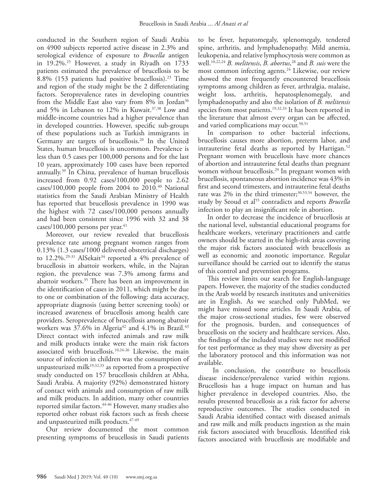conducted in the Southern region of Saudi Arabia on 4900 subjects reported active disease in 2.3% and serological evidence of exposure to *Brucella* antigen in 19.2%.[25](#page-6-33) However, a study in Riyadh on 1733 patients estimated the prevalence of brucellosis to be 8.8% (153 patients had positive brucellosis).[23](#page-6-18) Time and region of the study might be the 2 differentiating factors. Seroprevalence rates in developing countries from the Middle East also vary from 8% in Jordan<sup>36</sup> and 5% in Lebanon to 12% in Kuwait.<sup>37,38</sup> Low and middle-income countries had a higher prevalence than in developed countries. However, specific sub-groups of these populations such as Turkish immigrants in Germany are targets of brucellosis.[20](#page-6-17) In the United States, human brucellosis is uncommon. Prevalence is less than 0.5 cases per 100,000 persons and for the last 10 years, approximately 100 cases have been reported annually.[39](#page-7-0) In China, prevalence of human brucellosis increased from 0.92 cases/100,000 people to 2.62 cases/100,000 people from  $2004$  to  $2010.^{40}$  National statistics from the Saudi Arabian Ministry of Health has reported that brucellosis prevalence in 1990 was the highest with 72 cases/100,000 persons annually and had been consistent since 1996 with 32 and 38 cases/100,000 persons per year. $41$ 

Moreover, our review revealed that brucellosis prevalence rate among pregnant women ranges from 0.13% (1.3 cases/1000 delivered obstetrical discharges) to 12.2%.<sup>[29](#page-6-27)-31</sup> AlSekait<sup>34</sup> reported a 4% prevalence of brucellosis in abattoir workers, while, in the Najran region, the prevalence was 7.3% among farms and abattoir workers[.35](#page-6-32) There has been an improvement in the identification of cases in 2011, which might be due to one or combination of the following: data accuracy, appropriate diagnosis (using better screening tools) or increased awareness of brucellosis among health care providers. Seroprevalence of brucellosis among abattoir workers was  $37.6\%$  in Algeria<sup>42</sup> and  $4.1\%$  in Brazil.<sup>43</sup> Direct contact with infected animals and raw milk and milk products intake were the main risk factors associated with brucellosis[.10,](#page-6-9)[24-](#page-6-21)[26](#page-6-24) Likewise, the main source of infection in children was the consumption of unpasteurized milk<sup>[19](#page-6-28),[32](#page-6-31),[33](#page-6-29)</sup> as reported from a prospective study conducted on 157 brucellosis children at Abha, Saudi Arabia. A majority (92%) demonstrated history of contact with animals and consumption of raw milk and milk products. In addition, many other countries reported similar factors.[44](#page-7-5)[-46](#page-7-6) However, many studies also reported other robust risk factors such as fresh cheese and unpasteurized milk products.  $47-49$  $47-49$ 

Our review documented the most common presenting symptoms of brucellosis in Saudi patients

to be fever, hepatomegaly, splenomegaly, tendered spine, arthritis, and lymphadenopathy. Mild anemia, leukopenia, and relative lymphocytosis were common as well[.10](#page-6-9)[,22](#page-6-20)[,24](#page-6-21) *B. melitensis*, *B. abortus*, [28](#page-6-23) and *B. suis* were the most common infecting agents.24 Likewise, our review showed the most frequently encountered brucellosis symptoms among children as fever, arthralgia, malaise, weight loss, arthritis, hepatosplenomegaly, and lymphadenopathy and also the isolation of *B. melitensis*  species from most patients.<sup>[19](#page-6-28),[32](#page-6-31),[33](#page-6-29)</sup> It has been reported in the literature that almost every organ can be affected, and varied complications may occur.<sup>[50](#page-7-9),[51](#page-7-10)</sup>

In comparison to other bacterial infections, brucellosis causes more abortion, preterm labor, and intrauterine fetal deaths as reported by Hartigan.<sup>52</sup> Pregnant women with brucellosis have more chances of abortion and intrauterine fetal deaths than pregnant women without brucellosis.<sup>[29](#page-6-27)</sup> In pregnant women with brucellosis, spontaneous abortion incidence was 43% in first and second trimesters, and intrauterine fetal deaths rate was  $2\%$  in the third trimester;<sup>[30](#page-6-26),[53](#page-7-12),[54](#page-7-13)</sup> however, the study by Seoud et al<sup>[55](#page-7-14)</sup> contradicts and reports *Brucella* infection to play an insignificant role in abortion.

In order to decrease the incidence of brucellosis at the national level, substantial educational programs for healthcare workers, veterinary practitioners and cattle owners should be started in the high-risk areas covering the major risk factors associated with brucellosis as well as economic and zoonotic importance. Regular surveillance should be carried out to identify the status of this control and prevention programs.

This review limits our search for English-language papers. However, the majority of the studies conducted in the Arab world by research institutes and universities are in English. As we searched only PubMed, we might have missed some articles. In Saudi Arabia, of the major cross-sectional studies, few were observed for the prognosis, burden, and consequences of brucellosis on the society and healthcare services. Also, the findings of the included studies were not modified for test performance as they may show diversity as per the laboratory protocol and this information was not available.

 In conclusion, the contribute to brucellosis disease incidence/prevalence varied within regions. Brucellosis has a huge impact on human and has higher prevalence in developed countries. Also, the results presented brucellosis as a risk factor for adverse reproductive outcomes. The studies conducted in Saudi Arabia identified contact with diseased animals and raw milk and milk products ingestion as the main risk factors associated with brucellosis. Identified risk factors associated with brucellosis are modifiable and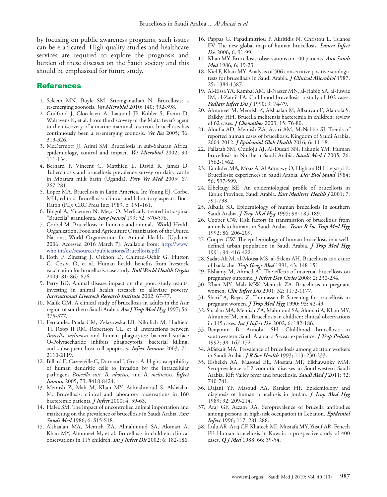by focusing on public awareness programs, such issues can be eradicated. High-quality studies and healthcare services are required to explore the prognosis and burden of these diseases on the Saudi society and this should be emphasized for future study.

#### References

- <span id="page-6-0"></span> 1. [Seleem MN, Boyle SM, Sriranganathan N. Brucellosis: a](https://www.ncbi.nlm.nih.gov/pubmed/19604656)  [re-emerging zoonosis.](https://www.ncbi.nlm.nih.gov/pubmed/19604656) *Vet Microbiol* 2010; 140: 392-398.
- <span id="page-6-1"></span> 2. [Godfroid J, Cloeckaert A, Liautard JP, Kohler S, Fretin D,](https://www.ncbi.nlm.nih.gov/pubmed/15845228)  [Walravens K, et al. From the discovery of the Malta fever's agent](https://www.ncbi.nlm.nih.gov/pubmed/15845228)  [to the discovery of a marine mammal reservoir, brucellosis has](https://www.ncbi.nlm.nih.gov/pubmed/15845228)  [continuously been a re-emerging zoonosis.](https://www.ncbi.nlm.nih.gov/pubmed/15845228) *Vet Res* 2005; 36: [313-326.](https://www.ncbi.nlm.nih.gov/pubmed/15845228)
- <span id="page-6-2"></span> 3. [McDermott JJ, Arimi SM. Brucellosis in sub-Saharan Africa:](https://www.ncbi.nlm.nih.gov/pubmed/12414138)  [epidemiology, control and impact.](https://www.ncbi.nlm.nih.gov/pubmed/12414138) *Vet Microbiol* 2002; 90: [111-134.](https://www.ncbi.nlm.nih.gov/pubmed/12414138)
- <span id="page-6-3"></span> 4. [Bernard F, Vincent C, Matthieu L, David R, James D.](https://www.ncbi.nlm.nih.gov/pubmed/15748756)  [Tuberculosis and brucellosis prevalence survey on dairy cattle](https://www.ncbi.nlm.nih.gov/pubmed/15748756)  [in Mbarara milk basin \(Uganda\).](https://www.ncbi.nlm.nih.gov/pubmed/15748756) *Prev Vet Med* 2005; 67: [267-281.](https://www.ncbi.nlm.nih.gov/pubmed/15748756)
- <span id="page-6-4"></span> 5. [Lopez MA. Brucellosis in Latin America. In: Young EJ, Corbel](https://www.crcpress.com/Brucellosis-Clinical-and-Laboratory-Aspects/Young-Corbel/p/book/9780849366611)  [MH, editors. Brucellosis: clinical and laboratory aspects. Boca](https://www.crcpress.com/Brucellosis-Clinical-and-Laboratory-Aspects/Young-Corbel/p/book/9780849366611)  [Raton \(FL\): CRC Press Inc; 1989. p. 151-161.](https://www.crcpress.com/Brucellosis-Clinical-and-Laboratory-Aspects/Young-Corbel/p/book/9780849366611)
- <span id="page-6-5"></span> 6. [Bingöl A, Yücemen N, Meço O. Medically treated intraspinal](https://www.ncbi.nlm.nih.gov/pubmed/10660022)  ["Brucella" granuloma.](https://www.ncbi.nlm.nih.gov/pubmed/10660022) *Surg Neurol* 199; 52: 570-576.
- <span id="page-6-6"></span> 7. [Corbel M. Brucellosis in humans and animals. World Health](http://www.who.int/csr/resources/publications/Brucellosis.pdf )  [Organization, Food and Agriculture Organization of the United](http://www.who.int/csr/resources/publications/Brucellosis.pdf )  [Nations, World Organization for Animal Health. \[Updated](http://www.who.int/csr/resources/publications/Brucellosis.pdf )  [2006, Accessed 2016 March 7\]. Available from](http://www.who.int/csr/resources/publications/Brucellosis.pdf ): http://www. who.int/csr/resources/publications/Brucellosis.pdf
- <span id="page-6-7"></span> 8. [Roth F, Zinsstag J, Orkhon D, Chimed-Ochir G, Hutton](https://www.ncbi.nlm.nih.gov/pubmed/14997239)  [G, Cosivi O, et al. Human health benefits from livestock](https://www.ncbi.nlm.nih.gov/pubmed/14997239)  [vaccination for brucellosis: case study.](https://www.ncbi.nlm.nih.gov/pubmed/14997239) *Bull World Health Organ* [2003; 81: 867-876.](https://www.ncbi.nlm.nih.gov/pubmed/14997239)
- <span id="page-6-8"></span> 9. [Perry BD. Animal disease impact on the poor: study results,](pdfs.semanticscholar.org/dadl/03172eadbcof1f94d3e82cc9cefd5dfa9.pdf )  [investing in animal health research to alleviate poverty.](pdfs.semanticscholar.org/dadl/03172eadbcof1f94d3e82cc9cefd5dfa9.pdf )  *[International Livestock Research Institute](pdfs.semanticscholar.org/dadl/03172eadbcof1f94d3e82cc9cefd5dfa9.pdf )* 2002: 67-77.
- <span id="page-6-9"></span>10. M[alik GM. A clinical study of brucellosis in adults in the Asir](https://www.ncbi.nlm.nih.gov/pubmed/9158043)  [region of southern Saudi Arabia.](https://www.ncbi.nlm.nih.gov/pubmed/9158043) *Am J Trop Med Hyg* 1997; 56: [375-377.](https://www.ncbi.nlm.nih.gov/pubmed/9158043)
- <span id="page-6-10"></span>11. [Fernandez-Prada CM, Zelazowska EB, Nikolich M, Hadfield](https://www.ncbi.nlm.nih.gov/pmc/articles/PMC152029/)  [Tl, Roop II RM, Robertson GL, et al. Interactions between](https://www.ncbi.nlm.nih.gov/pmc/articles/PMC152029/)  *Brucella melitensis* [and human phagocytes: bacterial surface](https://www.ncbi.nlm.nih.gov/pmc/articles/PMC152029/)  [O-Polysaccharide inhibits phagocytosis, bacterial killing,](https://www.ncbi.nlm.nih.gov/pmc/articles/PMC152029/)  [and subsequent host cell apoptosis.](https://www.ncbi.nlm.nih.gov/pmc/articles/PMC152029/) *Infect Immun* 2003*;* 71: [2110-2119.](https://www.ncbi.nlm.nih.gov/pmc/articles/PMC152029/)
- <span id="page-6-11"></span>12. [Billard E, Cazevieille C, Dornand J, Gross A. High susceptibility](https://www.ncbi.nlm.nih.gov/pmc/articles/PMC1307067/)  [of human dendritic cells to invasion by the intracellular](https://www.ncbi.nlm.nih.gov/pmc/articles/PMC1307067/)  pathogens *[Brucella suis, B. abortus,](https://www.ncbi.nlm.nih.gov/pmc/articles/PMC1307067/)* and *B. melitensis*. *Infect Immun* [2005; 73: 8418-8424.](https://www.ncbi.nlm.nih.gov/pmc/articles/PMC1307067/)
- <span id="page-6-12"></span>13. [Memish Z, Mah M, Khan MY, Aalmahmoud S, Alshaalan](https://www.ncbi.nlm.nih.gov/pubmed/10762113)  [M. Brucellosis: clinical and laboratory observations in 160](https://www.ncbi.nlm.nih.gov/pubmed/10762113)  [bacteremic patients.](https://www.ncbi.nlm.nih.gov/pubmed/10762113) *J Infect* 2000; 4: 59-63.
- <span id="page-6-13"></span>14. Hafez SM. The impact of uncontrolled animal importation and marketing on the prevalence of brucellosis in Saudi Arabia. *Ann Saudi Med* 1986; 6: S15-S18.
- <span id="page-6-15"></span>15. [Alshaalan MA, Memish ZA, Almahmoud SA, Alomari A,](https://www.ncbi.nlm.nih.gov/pubmed/12718832)  [Khan MY, Almuneef M, et al. Brucellosis in children: clinical](https://www.ncbi.nlm.nih.gov/pubmed/12718832)  [observations in 115 children.](https://www.ncbi.nlm.nih.gov/pubmed/12718832) *Int J Infect Dis* 2002; 6: 182-186.
- <span id="page-6-14"></span>16. [Pappas G, Papadimitriou P, Akritidis N, Christou L, Tsianos](https://www.ncbi.nlm.nih.gov/pubmed/?term=The+new+global+map+of+human+brucellosis) [EV. The new global map of human brucellosis.](https://www.ncbi.nlm.nih.gov/pubmed/?term=The+new+global+map+of+human+brucellosis) *Lancet Infect Dis* [2006; 6: 91-99.](https://www.ncbi.nlm.nih.gov/pubmed/?term=The+new+global+map+of+human+brucellosis)
- <span id="page-6-16"></span>17. Khan MY. Brucellosis: observations on 100 patients. *Ann Saudi Med* 1986; 6: 19-23.
- 18. [Kiel F, Khan MY. Analysis of 506 consecutive positive serologic](https://www.ncbi.nlm.nih.gov/pubmed/3624438) [tests for brucellosis in Saudi Arabia.](https://www.ncbi.nlm.nih.gov/pubmed/3624438) *J Clinical Microbiol* 1987; [25: 1384-1387.](https://www.ncbi.nlm.nih.gov/pubmed/3624438)
- <span id="page-6-28"></span>19. Al-Eissa YA, Kambal AM, al-Nasser MN, al-Habib SA, al-Fawaz IM, al-Zamil FA. Childhood brucellosis: a study of 102 cases. *Pediatr Infect Dis J* 1990; 9: 74-79.
- <span id="page-6-17"></span>20. [Almuneef M, Memish Z, Alshaalan M, Albanyan E, Alaloola S,](https://www.ncbi.nlm.nih.gov/pubmed/12678419) [Balkhy HH. Brucella melitensis bacteremia in children: review](https://www.ncbi.nlm.nih.gov/pubmed/12678419) of 62 cases. *J Chemother* [2003; 15: 76-80.](https://www.ncbi.nlm.nih.gov/pubmed/12678419)
- <span id="page-6-19"></span>21. [Aloufia AD, Memish ZA, Assiri AM, McNabbb SJ. Trends of](https://www.ncbi.nlm.nih.gov/pubmed/?term=Trends+of+reported+human+cases+of+brucellosis%2C+Kingdom+of+Saudi+Arabia%2C+2004-2012) [reported human cases of brucellosis, Kingdom of Saudi Arabia,](https://www.ncbi.nlm.nih.gov/pubmed/?term=Trends+of+reported+human+cases+of+brucellosis%2C+Kingdom+of+Saudi+Arabia%2C+2004-2012) 2004-2012. *[J Epidemiol Glob Health](https://www.ncbi.nlm.nih.gov/pubmed/?term=Trends+of+reported+human+cases+of+brucellosis%2C+Kingdom+of+Saudi+Arabia%2C+2004-2012)* 2016; 6: 11-18.
- <span id="page-6-20"></span>22. [Fallatah SM, Oduloju AJ, Al-Dusari SN, Fakunle YM. Human](https://www.ncbi.nlm.nih.gov/pubmed/?term=Fallatah+SM%2C+Oduloju+AJ%2C+Al-Dusari+SN%2C+Fakunle+YM.+Human+brucellosis+in+Northern+Saudi+Arabia.+Saudi+Med+J+2005%3B+26%3A1562-1562.) [brucellosis in Northern Saudi Arabia.](https://www.ncbi.nlm.nih.gov/pubmed/?term=Fallatah+SM%2C+Oduloju+AJ%2C+Al-Dusari+SN%2C+Fakunle+YM.+Human+brucellosis+in+Northern+Saudi+Arabia.+Saudi+Med+J+2005%3B+26%3A1562-1562.) *Saudi Med J* 2005; 26: [1562-1562.](https://www.ncbi.nlm.nih.gov/pubmed/?term=Fallatah+SM%2C+Oduloju+AJ%2C+Al-Dusari+SN%2C+Fakunle+YM.+Human+brucellosis+in+Northern+Saudi+Arabia.+Saudi+Med+J+2005%3B+26%3A1562-1562.)
- <span id="page-6-18"></span>23. [Talukder MA, Moaz A, Al Admawy O, Higham RH, Legaspi E.](https://www.ncbi.nlm.nih.gov/pubmed/?term=Talukder+MA%2C+Moaz+A%2C+Al+Admawy+O%2C+Higham+RH%2C+Legaspi+E.+Brucellosis%3A+experiences+in+Saudi+Arabia.+Dev+Biol+Stand+1984%3B++56%3A+597-599.) [Brucellosis: experiences in Saudi Arabia.](https://www.ncbi.nlm.nih.gov/pubmed/?term=Talukder+MA%2C+Moaz+A%2C+Al+Admawy+O%2C+Higham+RH%2C+Legaspi+E.+Brucellosis%3A+experiences+in+Saudi+Arabia.+Dev+Biol+Stand+1984%3B++56%3A+597-599.) *Dev Biol Stand* 1984; [56: 597-599.](https://www.ncbi.nlm.nih.gov/pubmed/?term=Talukder+MA%2C+Moaz+A%2C+Al+Admawy+O%2C+Higham+RH%2C+Legaspi+E.+Brucellosis%3A+experiences+in+Saudi+Arabia.+Dev+Biol+Stand+1984%3B++56%3A+597-599.)
- <span id="page-6-21"></span>24. [Elbeltagy KE. An epidemiological profile of brucellosis in](https://www.ncbi.nlm.nih.gov/pubmed/?term=Elbeltagy+KE.+An+epidemiological+profile+of+brucellosis+in+Tabuk+Province%2C+Saudi+Arabia.+East+Mediterr+Health+J+2001%3B+7%3A791-78.) [Tabuk Province, Saudi Arabia.](https://www.ncbi.nlm.nih.gov/pubmed/?term=Elbeltagy+KE.+An+epidemiological+profile+of+brucellosis+in+Tabuk+Province%2C+Saudi+Arabia.+East+Mediterr+Health+J+2001%3B+7%3A791-78.) *East Mediterr Health J* 2001; 7: [791-798.](https://www.ncbi.nlm.nih.gov/pubmed/?term=Elbeltagy+KE.+An+epidemiological+profile+of+brucellosis+in+Tabuk+Province%2C+Saudi+Arabia.+East+Mediterr+Health+J+2001%3B+7%3A791-78.)
- <span id="page-6-33"></span>25. [Alballa SR. Epidemiology of human brucellosis in southern](https://www.ncbi.nlm.nih.gov/pubmed/?term=Alballa+SR.+Epidemiology+of+human+brucellosis+in+southern+Saudi+Arabia.+J+Trop+Med+Hyg+1995%3B+98%3A+185-189.) Saudi Arabia. *J Trop Med Hyg* [1995; 98: 185-189.](https://www.ncbi.nlm.nih.gov/pubmed/?term=Alballa+SR.+Epidemiology+of+human+brucellosis+in+southern+Saudi+Arabia.+J+Trop+Med+Hyg+1995%3B+98%3A+185-189.)
- <span id="page-6-24"></span>26. [Cooper CW. Risk factors in transmission of brucellosis from](https://www.ncbi.nlm.nih.gov/pubmed/?term=Cooper+CW.+Risk+factors+in+transmission+of+brucellosis+from+animals+to+humans+in+Saudi+Arabia.+Trans+R+Soc+Trop+Med+Hyg+1992%3B+86%3A+206-209.) [animals to humans in Saudi Arabia.](https://www.ncbi.nlm.nih.gov/pubmed/?term=Cooper+CW.+Risk+factors+in+transmission+of+brucellosis+from+animals+to+humans+in+Saudi+Arabia.+Trans+R+Soc+Trop+Med+Hyg+1992%3B+86%3A+206-209.) *Trans R Soc Trop Med Hyg*  [1992; 86: 206-209.](https://www.ncbi.nlm.nih.gov/pubmed/?term=Cooper+CW.+Risk+factors+in+transmission+of+brucellosis+from+animals+to+humans+in+Saudi+Arabia.+Trans+R+Soc+Trop+Med+Hyg+1992%3B+86%3A+206-209.)
- <span id="page-6-22"></span>27. Cooper CW. The epidemiology of human brucellosis in a well[defined urban population in Saudi Arabia.](https://www.ncbi.nlm.nih.gov/pubmed/?term=defined+urban+population+in+Saudi+Arabia.+J+Trop+Med+Hyg+1991%3B+94%3A+416-422.) *J Trop Med Hyg*  [1991; 94: 416-422.](https://www.ncbi.nlm.nih.gov/pubmed/?term=defined+urban+population+in+Saudi+Arabia.+J+Trop+Med+Hyg+1991%3B+94%3A+416-422.)
- <span id="page-6-23"></span>28. [Sadat-Ali M, al-Mousa MS, al-Salem AH. Brucellosis as a cause](https://www.ncbi.nlm.nih.gov/pubmed/?term=Sadat-Ali+M%2C+al-Mousa+MS%2C+al-Salem+AH.+Brucellosis+as+a+cause+of+backache.+Trop+Geogr+Med+1991%3B+43%3A+148-151.) of backache. *Trop Geogr Med* [1991; 43: 148-151.](https://www.ncbi.nlm.nih.gov/pubmed/?term=Sadat-Ali+M%2C+al-Mousa+MS%2C+al-Salem+AH.+Brucellosis+as+a+cause+of+backache.+Trop+Geogr+Med+1991%3B+43%3A+148-151.)
- <span id="page-6-27"></span>29. [Elshamy M, Ahmed AI. The effects of maternal brucellosis on](https://www.ncbi.nlm.nih.gov/pubmed/?term=Elshamy+M%2C+Ahmed+AI.+The+effects+of+maternal+brucellosis+on+pregnancy+outcome.+J+Infect+Dev+Ctries+2008%3B+1%3B+2%3A+230-234) [pregnancy outcome.](https://www.ncbi.nlm.nih.gov/pubmed/?term=Elshamy+M%2C+Ahmed+AI.+The+effects+of+maternal+brucellosis+on+pregnancy+outcome.+J+Infect+Dev+Ctries+2008%3B+1%3B+2%3A+230-234) *J Infect Dev Ctries* 2008; 2: 230-234.
- <span id="page-6-26"></span>30. [Khan MY, Mah MW, Memish ZA. Brucellosis in pregnant](https://www.ncbi.nlm.nih.gov/pubmed/?term=Khan+MY%2C+Mah+MW%2C+Memish+ZA.+Brucellosis+in+pregnant+women.+Clin+Infect+Dis+2001%3B+32%3A+1172-1177.) women. *Clin Infect Dis* [2001; 32: 1172-1177.](https://www.ncbi.nlm.nih.gov/pubmed/?term=Khan+MY%2C+Mah+MW%2C+Memish+ZA.+Brucellosis+in+pregnant+women.+Clin+Infect+Dis+2001%3B+32%3A+1172-1177.)
- <span id="page-6-25"></span>31. [Sharif A, Reyes Z, Thomassen P. Screening for brucellosis in](https://www.ncbi.nlm.nih.gov/pubmed/?term=Sharif+A1%2C+Reyes+Z%2C+Thomassen+P.+Screening+for+brucellosis+in+pregnant+women.+J+Trop+Med+Hyg+1990%3B+93%3A42-3.) pregnant women. *J Trop Med Hyg* [1990; 93: 42-43.](https://www.ncbi.nlm.nih.gov/pubmed/?term=Sharif+A1%2C+Reyes+Z%2C+Thomassen+P.+Screening+for+brucellosis+in+pregnant+women.+J+Trop+Med+Hyg+1990%3B+93%3A42-3.)
- <span id="page-6-31"></span>32. [Shaalan MA, Memish ZA, Mahmoud SA, Alomari A, Khan MY,](https://www.ncbi.nlm.nih.gov/pubmed/?term=Shaalan+MA%2C+Memish+ZA%2C+Mahmoud+SA%2C+Alomari+A%2C+Khan+MY%2C+Almuneef+M%2C+Alalola+S.+Brucellosis+in+children%3A+clinical+observations+in+115+cases.+Int+J+Infect+Dis+2002%3B+6%3A+182-186.) [Almuneef M, et al. Brucellosis in children: clinical observations](https://www.ncbi.nlm.nih.gov/pubmed/?term=Shaalan+MA%2C+Memish+ZA%2C+Mahmoud+SA%2C+Alomari+A%2C+Khan+MY%2C+Almuneef+M%2C+Alalola+S.+Brucellosis+in+children%3A+clinical+observations+in+115+cases.+Int+J+Infect+Dis+2002%3B+6%3A+182-186.) in 115 cases. *Int J Infect Dis* [2002; 6: 182-186.](https://www.ncbi.nlm.nih.gov/pubmed/?term=Shaalan+MA%2C+Memish+ZA%2C+Mahmoud+SA%2C+Alomari+A%2C+Khan+MY%2C+Almuneef+M%2C+Alalola+S.+Brucellosis+in+children%3A+clinical+observations+in+115+cases.+Int+J+Infect+Dis+2002%3B+6%3A+182-186.)
- <span id="page-6-29"></span>33. [Benjamin B, Annobil SH. Childhood brucellosis in](https://www.ncbi.nlm.nih.gov/pubmed/?term=Benjamin+B%2C+Annobil+SH.+Childhood+brucellosis+in+southwestern+Saudi+Arabia%3A+a+5-year+experience.+J+Trop+Pediatr+1992%3B+38%3A+167-172.) [southwestern Saudi Arabia: a 5-year experience.](https://www.ncbi.nlm.nih.gov/pubmed/?term=Benjamin+B%2C+Annobil+SH.+Childhood+brucellosis+in+southwestern+Saudi+Arabia%3A+a+5-year+experience.+J+Trop+Pediatr+1992%3B+38%3A+167-172.) *J Trop Pediatr*  [1992; 38: 167-172.](https://www.ncbi.nlm.nih.gov/pubmed/?term=Benjamin+B%2C+Annobil+SH.+Childhood+brucellosis+in+southwestern+Saudi+Arabia%3A+a+5-year+experience.+J+Trop+Pediatr+1992%3B+38%3A+167-172.)
- <span id="page-6-30"></span>34. [AlSekait MA. Prevalence of brucellosis among abattoir workers](https://www.ncbi.nlm.nih.gov/pubmed/?term=AlSekait+MA.+Prevalence+of+brucellosis+among+abattoir+workers+in+Saudi+Arabia.+J+R+Soc+Health+1993%3B+113%3A+230-233.) in Saudi Arabia. *J R Soc Health* [1993; 113: 230-233.](https://www.ncbi.nlm.nih.gov/pubmed/?term=AlSekait+MA.+Prevalence+of+brucellosis+among+abattoir+workers+in+Saudi+Arabia.+J+R+Soc+Health+1993%3B+113%3A+230-233.)
- <span id="page-6-32"></span>35. [Elsheikh AA, Masoud EE, Mostafa MF, Elkhawanky MM.](https://www.ncbi.nlm.nih.gov/pubmed/?term=Seroprevalence+of+2+zoonotic+diseases+in+Southwestern+Saudi+Arabia.+Rift+Valley+fever+and+brucellosis) [Seroprevalence of 2 zoonotic diseases in Southwestern Saudi](https://www.ncbi.nlm.nih.gov/pubmed/?term=Seroprevalence+of+2+zoonotic+diseases+in+Southwestern+Saudi+Arabia.+Rift+Valley+fever+and+brucellosis) [Arabia. Rift Valley fever and brucellosis.](https://www.ncbi.nlm.nih.gov/pubmed/?term=Seroprevalence+of+2+zoonotic+diseases+in+Southwestern+Saudi+Arabia.+Rift+Valley+fever+and+brucellosis) *Saudi Med J* 2011; 32: [740-741.](https://www.ncbi.nlm.nih.gov/pubmed/?term=Seroprevalence+of+2+zoonotic+diseases+in+Southwestern+Saudi+Arabia.+Rift+Valley+fever+and+brucellosis)
- <span id="page-6-34"></span>36. [Dajani YF, Masoud AA, Barakat HF. Epidemiology and](https://www.ncbi.nlm.nih.gov/pubmed/?term=Dajani+YF%2C+Masoud+AA%2C+Barakat+HF.+Epidemiology+and+diagnosis+of+human+brucellosis+in+Jordan.+J+Trop+Med+Hyg+1989%3B+92%3A209-214.) [diagnosis of human brucellosis in Jordan.](https://www.ncbi.nlm.nih.gov/pubmed/?term=Dajani+YF%2C+Masoud+AA%2C+Barakat+HF.+Epidemiology+and+diagnosis+of+human+brucellosis+in+Jordan.+J+Trop+Med+Hyg+1989%3B+92%3A209-214.) *J Trop Med Hyg*  [1989; 92: 209-214.](https://www.ncbi.nlm.nih.gov/pubmed/?term=Dajani+YF%2C+Masoud+AA%2C+Barakat+HF.+Epidemiology+and+diagnosis+of+human+brucellosis+in+Jordan.+J+Trop+Med+Hyg+1989%3B+92%3A209-214.)
- <span id="page-6-35"></span>37. [Araj GF, Azzam RA. Seroprevalence of brucella antibodies](https://www.ncbi.nlm.nih.gov/pubmed/?term=Dajani+YF%2C+Masoud+AA%2C+Barakat+HF.+Epidemiology+and+diagnosis+of+human+brucellosis+in+Jordan.+J+Trop+Med+Hyg+1989%3B+92%3A209-214) [among persons in high-risk occupation in Lebanon.](https://www.ncbi.nlm.nih.gov/pubmed/?term=Dajani+YF%2C+Masoud+AA%2C+Barakat+HF.+Epidemiology+and+diagnosis+of+human+brucellosis+in+Jordan.+J+Trop+Med+Hyg+1989%3B+92%3A209-214) *Epidemiol Infect* [1996; 117: 281-288.](https://www.ncbi.nlm.nih.gov/pubmed/?term=Dajani+YF%2C+Masoud+AA%2C+Barakat+HF.+Epidemiology+and+diagnosis+of+human+brucellosis+in+Jordan.+J+Trop+Med+Hyg+1989%3B+92%3A209-214)
- <span id="page-6-36"></span>38. [Lulu AR, Araj GF, Khateeb MI, Mustafa MY, Yusuf AR, Fenech](https://www.ncbi.nlm.nih.gov/pubmed/3051080) [FF. Human brucellosis in Kuwait: a prospective study of 400](https://www.ncbi.nlm.nih.gov/pubmed/3051080) cases. *Q J Med* [1988; 66: 39-54.](https://www.ncbi.nlm.nih.gov/pubmed/3051080)